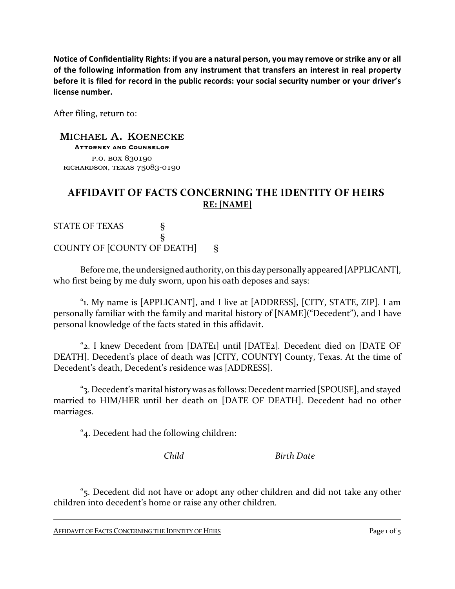**Notice of Confidentiality Rights: if you are a natural person, you may remove or strike any or all of the following information from any instrument that transfers an interest in real property before it is filed for record in the public records: your social security number or your driver's license number.**

After filing, return to:

MICHAEL A. KOENECKE Attorney and Counselor p.o. box 830190 richardson, texas 75083-0190

## **AFFIDAVIT OF FACTS CONCERNING THE IDENTITY OF HEIRS RE: [NAME]**

STATE OF TEXAS § § COUNTY OF [COUNTY OF DEATH] §

Before me, the undersigned authority, on this day personally appeared [APPLICANT], who first being by me duly sworn, upon his oath deposes and says:

"1. My name is [APPLICANT], and I live at [ADDRESS], [CITY, STATE, ZIP]. I am personally familiar with the family and marital history of [NAME]("Decedent"), and I have personal knowledge of the facts stated in this affidavit.

"2. I knew Decedent from [DATE1] until [DATE2]*.* Decedent died on [DATE OF DEATH]. Decedent's place of death was [CITY, COUNTY] County, Texas. At the time of Decedent's death, Decedent's residence was [ADDRESS].

"3. Decedent's marital history was as follows:Decedent married [SPOUSE], and stayed married to HIM/HER until her death on [DATE OF DEATH]. Decedent had no other marriages.

"4. Decedent had the following children:

*Child Birth Date*

"5. Decedent did not have or adopt any other children and did not take any other children into decedent's home or raise any other children*.*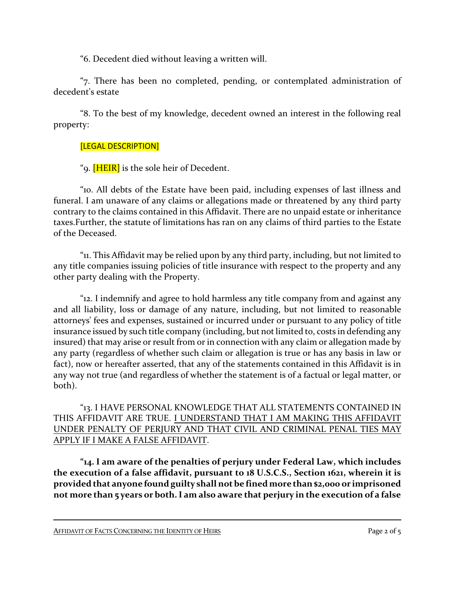"6. Decedent died without leaving a written will.

"7. There has been no completed, pending, or contemplated administration of decedent's estate

"8. To the best of my knowledge, decedent owned an interest in the following real property:

## [LEGAL DESCRIPTION]

"9. **[HEIR]** is the sole heir of Decedent.

"10. All debts of the Estate have been paid, including expenses of last illness and funeral. I am unaware of any claims or allegations made or threatened by any third party contrary to the claims contained in this Affidavit. There are no unpaid estate or inheritance taxes.Further, the statute of limitations has ran on any claims of third parties to the Estate of the Deceased.

"11. This Affidavit may be relied upon by any third party, including, but not limited to any title companies issuing policies of title insurance with respect to the property and any other party dealing with the Property.

"12. I indemnify and agree to hold harmless any title company from and against any and all liability, loss or damage of any nature, including, but not limited to reasonable attorneys' fees and expenses, sustained or incurred under or pursuant to any policy of title insurance issued by such title company (including, but not limited to, costs in defending any insured) that may arise or result from or in connection with any claim or allegation made by any party (regardless of whether such claim or allegation is true or has any basis in law or fact), now or hereafter asserted, that any of the statements contained in this Affidavit is in any way not true (and regardless of whether the statement is of a factual or legal matter, or both).

"13. I HAVE PERSONAL KNOWLEDGE THAT ALL STATEMENTS CONTAINED IN THIS AFFIDAVIT ARE TRUE. I UNDERSTAND THAT I AM MAKING THIS AFFIDAVIT UNDER PENALTY OF PERJURY AND THAT CIVIL AND CRIMINAL PENAL TIES MAY APPLY IF I MAKE A FALSE AFFIDAVIT.

**"14. I am aware of the penalties of perjury under Federal Law, which includes the execution of a false affidavit, pursuant to 18 U.S.C.S., Section 1621, wherein it is provided that anyone found guilty shall not be fined more than \$2,000 or imprisoned not more than 5 years or both. I am also aware that perjury in the execution of a false**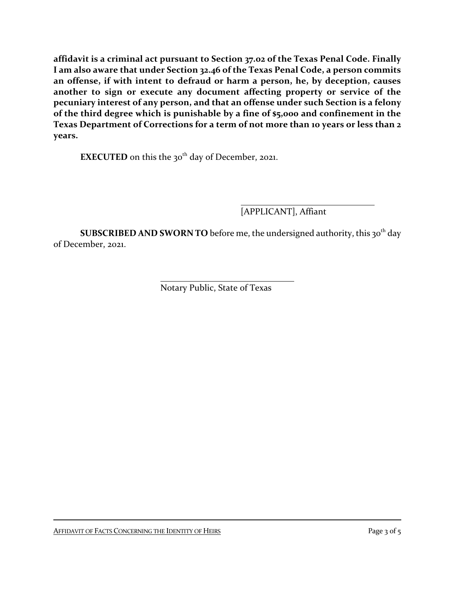**affidavit is a criminal act pursuant to Section 37.02 of the Texas Penal Code. Finally I am also aware that under Section 32.46 of the Texas Penal Code, a person commits an offense, if with intent to defraud or harm a person, he, by deception, causes another to sign or execute any document affecting property or service of the pecuniary interest of any person, and that an offense under such Section is a felony of the third degree which is punishable by a fine of \$5,000 and confinement in the Texas Department of Corrections for a term of not more than 10 years or less than 2 years.**

**EXECUTED** on this the 30<sup>th</sup> day of December, 2021.

[APPLICANT], Affiant

 ${\bf SUBSCRIBED}$   ${\bf AND}$   ${\bf SWORN}$  TO before me, the undersigned authority, this 30<sup>th</sup> day of December, 2021.

Notary Public, State of Texas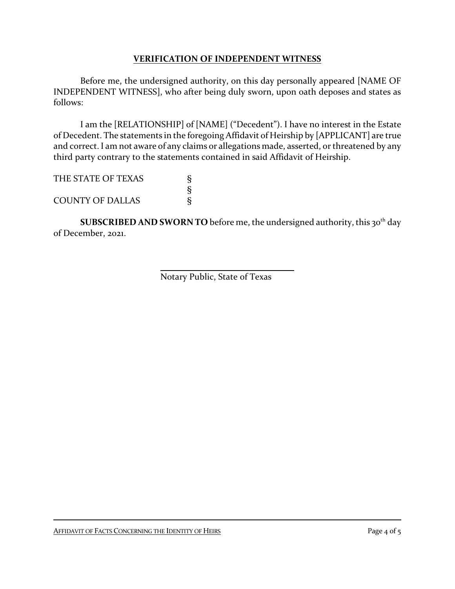## **VERIFICATION OF INDEPENDENT WITNESS**

Before me, the undersigned authority, on this day personally appeared [NAME OF INDEPENDENT WITNESS], who after being duly sworn, upon oath deposes and states as follows:

I am the [RELATIONSHIP] of [NAME] ("Decedent"). I have no interest in the Estate of Decedent. The statements in the foregoing Affidavit of Heirship by [APPLICANT] are true and correct. I am not aware of any claims or allegations made, asserted, or threatened by any third party contrary to the statements contained in said Affidavit of Heirship.

THE STATE OF TEXAS S § **COUNTY OF DALLAS** 

 ${\bf SUBSCRIBED}$   ${\bf AND}$   ${\bf SWORN}$   ${\bf TO}$  before me, the undersigned authority, this 30<sup>th</sup> day of December, 2021.

Notary Public, State of Texas